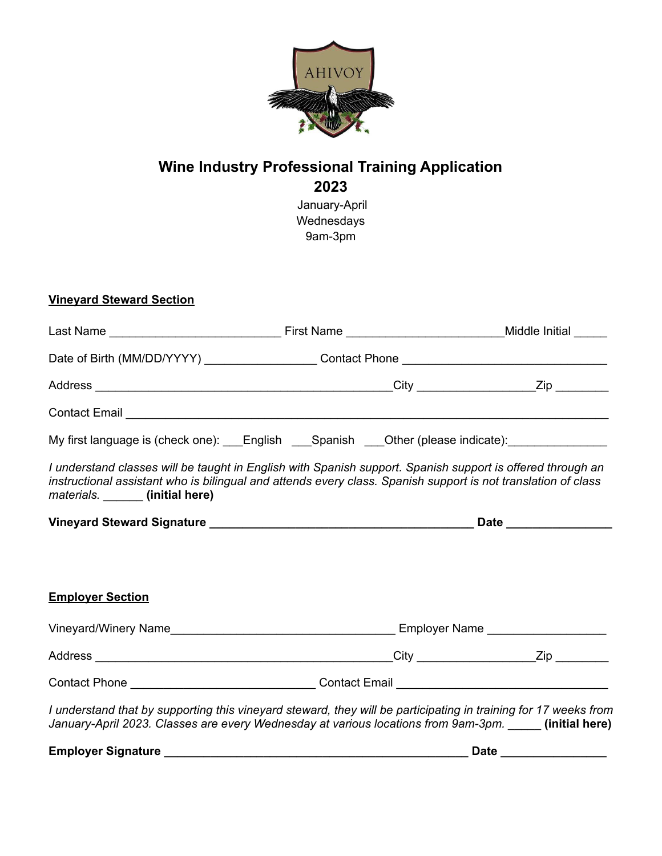

# **Wine Industry Professional Training Application 2023**

January-April Wednesdays 9am-3pm

### **Vineyard Steward Section**

| Contact Email League and Contact Email League and Contact Email League and Contact Email League and Contact Email                                                                                                                                               |             |
|-----------------------------------------------------------------------------------------------------------------------------------------------------------------------------------------------------------------------------------------------------------------|-------------|
| My first language is (check one): ___English ___Spanish ___Other (please indicate): _______________                                                                                                                                                             |             |
| I understand classes will be taught in English with Spanish support. Spanish support is offered through an<br>instructional assistant who is bilingual and attends every class. Spanish support is not translation of class<br>materials. ______ (initial here) |             |
|                                                                                                                                                                                                                                                                 |             |
|                                                                                                                                                                                                                                                                 |             |
| <b>Employer Section</b>                                                                                                                                                                                                                                         |             |
|                                                                                                                                                                                                                                                                 |             |
|                                                                                                                                                                                                                                                                 |             |
| Contact Phone _________________________________Contact Email ____________________                                                                                                                                                                               |             |
| I understand that by supporting this vineyard steward, they will be participating in training for 17 weeks from<br>January-April 2023. Classes are every Wednesday at various locations from 9am-3pm. _____ (initial here)                                      |             |
| <b>Employer Signature</b>                                                                                                                                                                                                                                       | <b>Date</b> |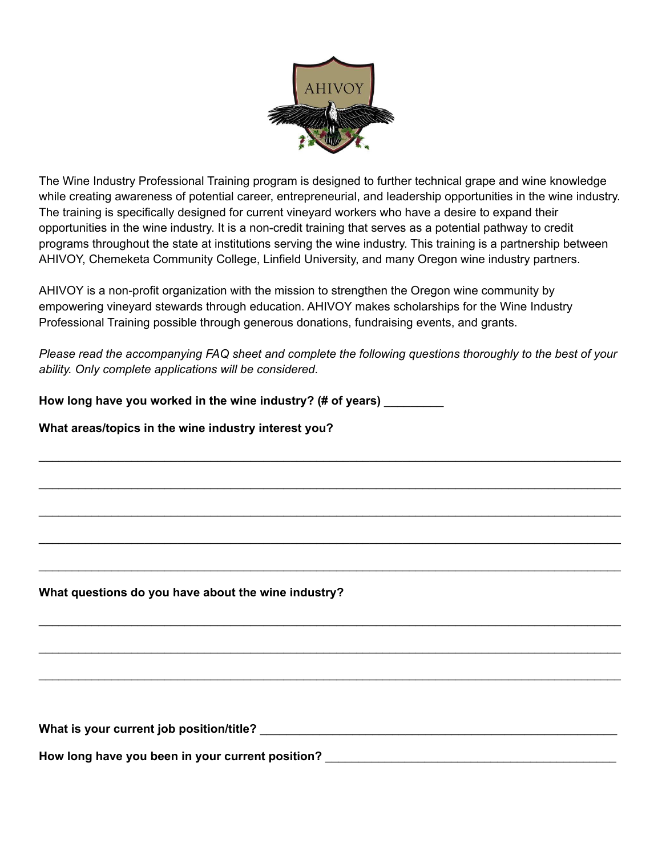

The Wine Industry Professional Training program is designed to further technical grape and wine knowledge while creating awareness of potential career, entrepreneurial, and leadership opportunities in the wine industry. The training is specifically designed for current vineyard workers who have a desire to expand their opportunities in the wine industry. It is a non-credit training that serves as a potential pathway to credit programs throughout the state at institutions serving the wine industry. This training is a partnership between AHIVOY, Chemeketa Community College, Linfield University, and many Oregon wine industry partners.

AHIVOY is a non-profit organization with the mission to strengthen the Oregon wine community by empowering vineyard stewards through education. AHIVOY makes scholarships for the Wine Industry Professional Training possible through generous donations, fundraising events, and grants.

*Please read the accompanying FAQ sheet and complete the following questions thoroughly to the best of your ability. Only complete applications will be considered.*

\_\_\_\_\_\_\_\_\_\_\_\_\_\_\_\_\_\_\_\_\_\_\_\_\_\_\_\_\_\_\_\_\_\_\_\_\_\_\_\_\_\_\_\_\_\_\_\_\_\_\_\_\_\_\_\_\_\_\_\_\_\_\_\_\_\_\_\_\_\_\_\_\_\_\_\_\_\_\_\_\_\_\_\_\_\_\_\_

\_\_\_\_\_\_\_\_\_\_\_\_\_\_\_\_\_\_\_\_\_\_\_\_\_\_\_\_\_\_\_\_\_\_\_\_\_\_\_\_\_\_\_\_\_\_\_\_\_\_\_\_\_\_\_\_\_\_\_\_\_\_\_\_\_\_\_\_\_\_\_\_\_\_\_\_\_\_\_\_\_\_\_\_\_\_\_\_

\_\_\_\_\_\_\_\_\_\_\_\_\_\_\_\_\_\_\_\_\_\_\_\_\_\_\_\_\_\_\_\_\_\_\_\_\_\_\_\_\_\_\_\_\_\_\_\_\_\_\_\_\_\_\_\_\_\_\_\_\_\_\_\_\_\_\_\_\_\_\_\_\_\_\_\_\_\_\_\_\_\_\_\_\_\_\_\_

\_\_\_\_\_\_\_\_\_\_\_\_\_\_\_\_\_\_\_\_\_\_\_\_\_\_\_\_\_\_\_\_\_\_\_\_\_\_\_\_\_\_\_\_\_\_\_\_\_\_\_\_\_\_\_\_\_\_\_\_\_\_\_\_\_\_\_\_\_\_\_\_\_\_\_\_\_\_\_\_\_\_\_\_\_\_\_\_

\_\_\_\_\_\_\_\_\_\_\_\_\_\_\_\_\_\_\_\_\_\_\_\_\_\_\_\_\_\_\_\_\_\_\_\_\_\_\_\_\_\_\_\_\_\_\_\_\_\_\_\_\_\_\_\_\_\_\_\_\_\_\_\_\_\_\_\_\_\_\_\_\_\_\_\_\_\_\_\_\_\_\_\_\_\_\_\_

\_\_\_\_\_\_\_\_\_\_\_\_\_\_\_\_\_\_\_\_\_\_\_\_\_\_\_\_\_\_\_\_\_\_\_\_\_\_\_\_\_\_\_\_\_\_\_\_\_\_\_\_\_\_\_\_\_\_\_\_\_\_\_\_\_\_\_\_\_\_\_\_\_\_\_\_\_\_\_\_\_\_\_\_\_\_\_\_

\_\_\_\_\_\_\_\_\_\_\_\_\_\_\_\_\_\_\_\_\_\_\_\_\_\_\_\_\_\_\_\_\_\_\_\_\_\_\_\_\_\_\_\_\_\_\_\_\_\_\_\_\_\_\_\_\_\_\_\_\_\_\_\_\_\_\_\_\_\_\_\_\_\_\_\_\_\_\_\_\_\_\_\_\_\_\_\_

\_\_\_\_\_\_\_\_\_\_\_\_\_\_\_\_\_\_\_\_\_\_\_\_\_\_\_\_\_\_\_\_\_\_\_\_\_\_\_\_\_\_\_\_\_\_\_\_\_\_\_\_\_\_\_\_\_\_\_\_\_\_\_\_\_\_\_\_\_\_\_\_\_\_\_\_\_\_\_\_\_\_\_\_\_\_\_\_

**How long have you worked in the wine industry? (# of years)** \_\_\_\_\_\_\_\_\_

#### **What areas/topics in the wine industry interest you?**

#### **What questions do you have about the wine industry?**

What is your current job position/title?

**How long have you been in your current position?** \_\_\_\_\_\_\_\_\_\_\_\_\_\_\_\_\_\_\_\_\_\_\_\_\_\_\_\_\_\_\_\_\_\_\_\_\_\_\_\_\_\_\_\_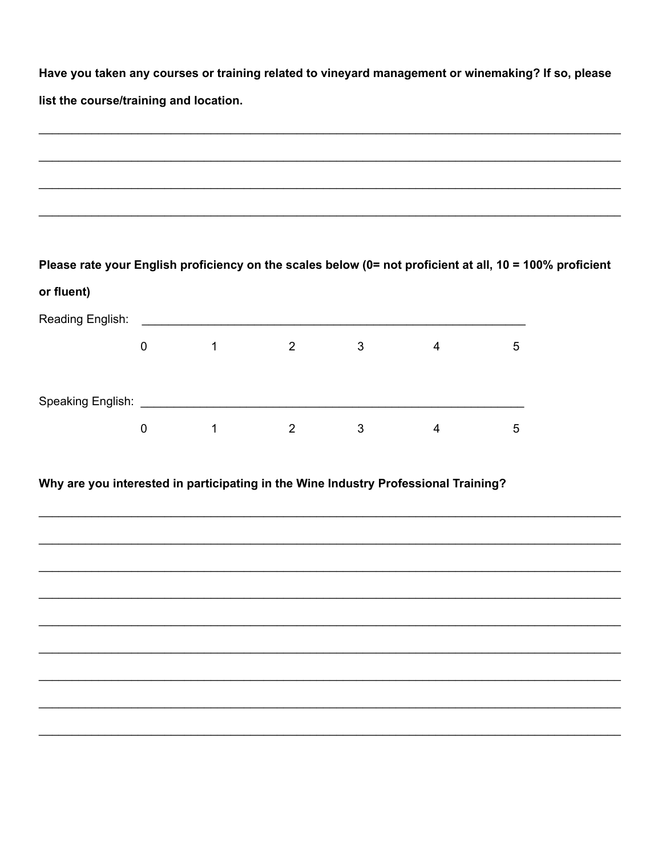Have you taken any courses or training related to vineyard management or winemaking? If so, please list the course/training and location.

| Please rate your English proficiency on the scales below (0= not proficient at all, 10 = 100% proficient<br>or fluent) |             |                |                |              |                |   |  |
|------------------------------------------------------------------------------------------------------------------------|-------------|----------------|----------------|--------------|----------------|---|--|
|                                                                                                                        |             |                |                |              |                |   |  |
|                                                                                                                        | $\mathbf 0$ | $\overline{1}$ | $2^{\circ}$    | 3            | $\overline{4}$ | 5 |  |
|                                                                                                                        |             |                |                |              |                |   |  |
|                                                                                                                        |             |                |                |              |                |   |  |
|                                                                                                                        | $\pmb{0}$   | $\sim$ 1       | $\overline{2}$ | $\mathbf{3}$ | $\overline{4}$ | 5 |  |
|                                                                                                                        |             |                |                |              |                |   |  |
|                                                                                                                        |             |                |                |              |                |   |  |
| Why are you interested in participating in the Wine Industry Professional Training?                                    |             |                |                |              |                |   |  |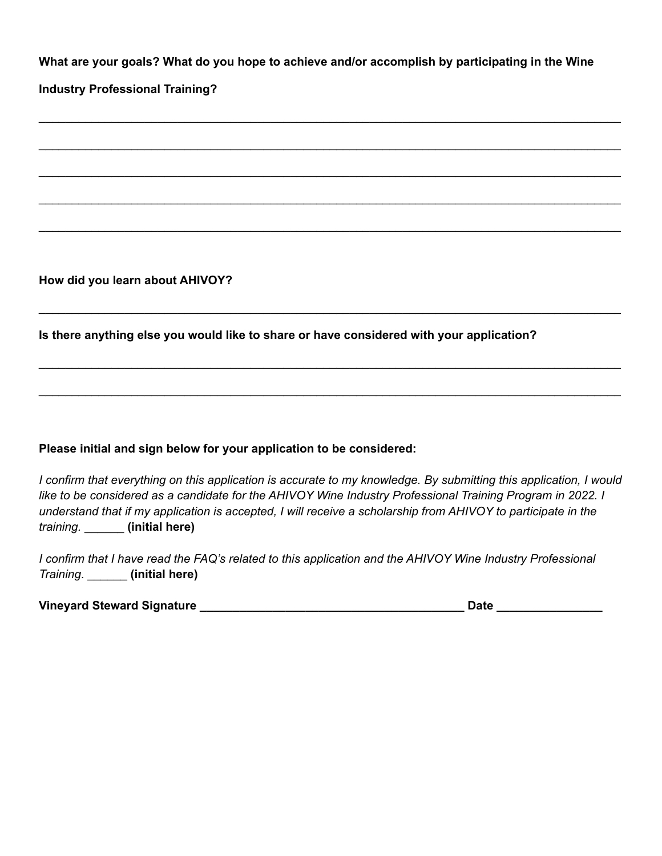**What are your goals? What do you hope to achieve and/or accomplish by participating in the Wine**

\_\_\_\_\_\_\_\_\_\_\_\_\_\_\_\_\_\_\_\_\_\_\_\_\_\_\_\_\_\_\_\_\_\_\_\_\_\_\_\_\_\_\_\_\_\_\_\_\_\_\_\_\_\_\_\_\_\_\_\_\_\_\_\_\_\_\_\_\_\_\_\_\_\_\_\_\_\_\_\_\_\_\_\_\_\_\_\_

\_\_\_\_\_\_\_\_\_\_\_\_\_\_\_\_\_\_\_\_\_\_\_\_\_\_\_\_\_\_\_\_\_\_\_\_\_\_\_\_\_\_\_\_\_\_\_\_\_\_\_\_\_\_\_\_\_\_\_\_\_\_\_\_\_\_\_\_\_\_\_\_\_\_\_\_\_\_\_\_\_\_\_\_\_\_\_\_

\_\_\_\_\_\_\_\_\_\_\_\_\_\_\_\_\_\_\_\_\_\_\_\_\_\_\_\_\_\_\_\_\_\_\_\_\_\_\_\_\_\_\_\_\_\_\_\_\_\_\_\_\_\_\_\_\_\_\_\_\_\_\_\_\_\_\_\_\_\_\_\_\_\_\_\_\_\_\_\_\_\_\_\_\_\_\_\_

\_\_\_\_\_\_\_\_\_\_\_\_\_\_\_\_\_\_\_\_\_\_\_\_\_\_\_\_\_\_\_\_\_\_\_\_\_\_\_\_\_\_\_\_\_\_\_\_\_\_\_\_\_\_\_\_\_\_\_\_\_\_\_\_\_\_\_\_\_\_\_\_\_\_\_\_\_\_\_\_\_\_\_\_\_\_\_\_

\_\_\_\_\_\_\_\_\_\_\_\_\_\_\_\_\_\_\_\_\_\_\_\_\_\_\_\_\_\_\_\_\_\_\_\_\_\_\_\_\_\_\_\_\_\_\_\_\_\_\_\_\_\_\_\_\_\_\_\_\_\_\_\_\_\_\_\_\_\_\_\_\_\_\_\_\_\_\_\_\_\_\_\_\_\_\_\_

\_\_\_\_\_\_\_\_\_\_\_\_\_\_\_\_\_\_\_\_\_\_\_\_\_\_\_\_\_\_\_\_\_\_\_\_\_\_\_\_\_\_\_\_\_\_\_\_\_\_\_\_\_\_\_\_\_\_\_\_\_\_\_\_\_\_\_\_\_\_\_\_\_\_\_\_\_\_\_\_\_\_\_\_\_\_\_\_

\_\_\_\_\_\_\_\_\_\_\_\_\_\_\_\_\_\_\_\_\_\_\_\_\_\_\_\_\_\_\_\_\_\_\_\_\_\_\_\_\_\_\_\_\_\_\_\_\_\_\_\_\_\_\_\_\_\_\_\_\_\_\_\_\_\_\_\_\_\_\_\_\_\_\_\_\_\_\_\_\_\_\_\_\_\_\_\_

\_\_\_\_\_\_\_\_\_\_\_\_\_\_\_\_\_\_\_\_\_\_\_\_\_\_\_\_\_\_\_\_\_\_\_\_\_\_\_\_\_\_\_\_\_\_\_\_\_\_\_\_\_\_\_\_\_\_\_\_\_\_\_\_\_\_\_\_\_\_\_\_\_\_\_\_\_\_\_\_\_\_\_\_\_\_\_\_

#### **Industry Professional Training?**

**How did you learn about AHIVOY?**

**Is there anything else you would like to share or have considered with your application?**

#### **Please initial and sign below for your application to be considered:**

*I confirm that everything on this application is accurate to my knowledge. By submitting this application, I would like to be considered as a candidate for the AHIVOY Wine Industry Professional Training Program in 2022. I understand that if my application is accepted, I will receive a scholarship from AHIVOY to participate in the training.* \_\_\_\_\_\_ **(initial here)**

*I confirm that I have read the FAQ's related to this application and the AHIVOY Wine Industry Professional Training*. \_\_\_\_\_\_ **(initial here)**

**Vineyard Steward Signature \_\_\_\_\_\_\_\_\_\_\_\_\_\_\_\_\_\_\_\_\_\_\_\_\_\_\_\_\_\_\_\_\_\_\_\_\_\_\_\_ Date \_\_\_\_\_\_\_\_\_\_\_\_\_\_\_\_**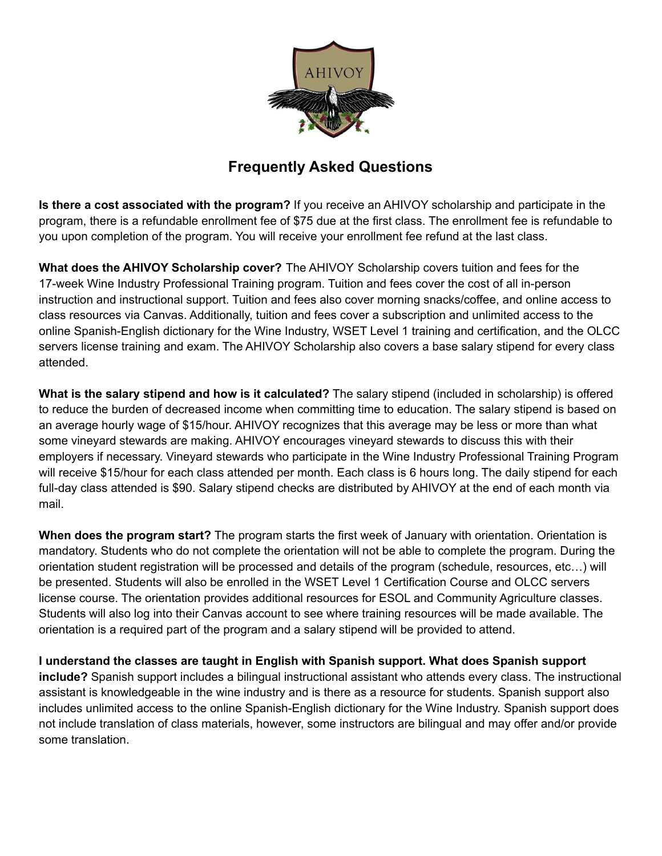

## **Frequently Asked Questions**

**Is there a cost associated with the program?** If you receive an AHIVOY scholarship and participate in the program, there is a refundable enrollment fee of \$75 due at the first class. The enrollment fee is refundable to you upon completion of the program. You will receive your enrollment fee refund at the last class.

**What does the AHIVOY Scholarship cover?** The AHIVOY Scholarship covers tuition and fees for the 17-week Wine Industry Professional Training program. Tuition and fees cover the cost of all in-person instruction and instructional support. Tuition and fees also cover morning snacks/coffee, and online access to class resources via Canvas. Additionally, tuition and fees cover a subscription and unlimited access to the online Spanish-English dictionary for the Wine Industry, WSET Level 1 training and certification, and the OLCC servers license training and exam. The AHIVOY Scholarship also covers a base salary stipend for every class attended.

**What is the salary stipend and how is it calculated?** The salary stipend (included in scholarship) is offered to reduce the burden of decreased income when committing time to education. The salary stipend is based on an average hourly wage of \$15/hour. AHIVOY recognizes that this average may be less or more than what some vineyard stewards are making. AHIVOY encourages vineyard stewards to discuss this with their employers if necessary. Vineyard stewards who participate in the Wine Industry Professional Training Program will receive \$15/hour for each class attended per month. Each class is 6 hours long. The daily stipend for each full-day class attended is \$90. Salary stipend checks are distributed by AHIVOY at the end of each month via mail.

**When does the program start?** The program starts the first week of January with orientation. Orientation is mandatory. Students who do not complete the orientation will not be able to complete the program. During the orientation student registration will be processed and details of the program (schedule, resources, etc…) will be presented. Students will also be enrolled in the WSET Level 1 Certification Course and OLCC servers license course. The orientation provides additional resources for ESOL and Community Agriculture classes. Students will also log into their Canvas account to see where training resources will be made available. The orientation is a required part of the program and a salary stipend will be provided to attend.

**I understand the classes are taught in English with Spanish support. What does Spanish support include?** Spanish support includes a bilingual instructional assistant who attends every class. The instructional assistant is knowledgeable in the wine industry and is there as a resource for students. Spanish support also includes unlimited access to the online Spanish-English dictionary for the Wine Industry. Spanish support does not include translation of class materials, however, some instructors are bilingual and may offer and/or provide some translation.